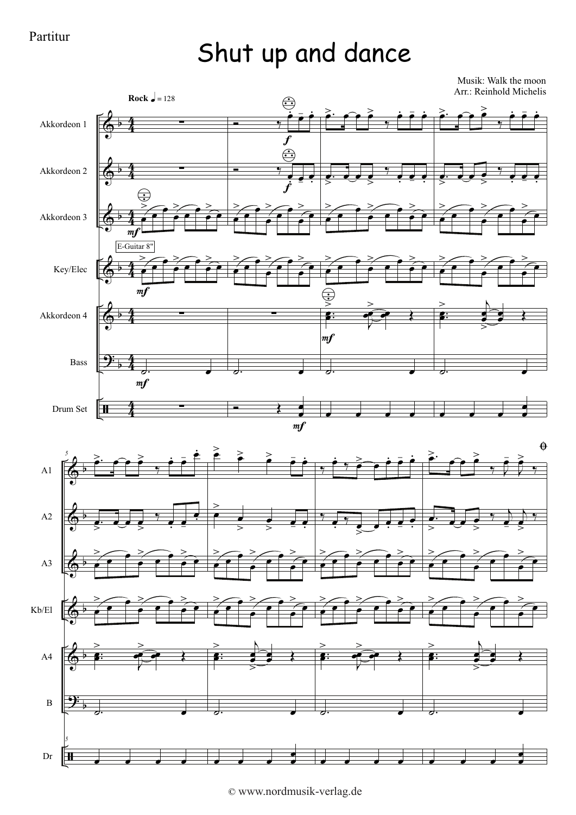## Shut up and dance

Musik: Walk the moon Arr.: Reinhold Michelis



<sup>©</sup> www.nordmusik-verlag.de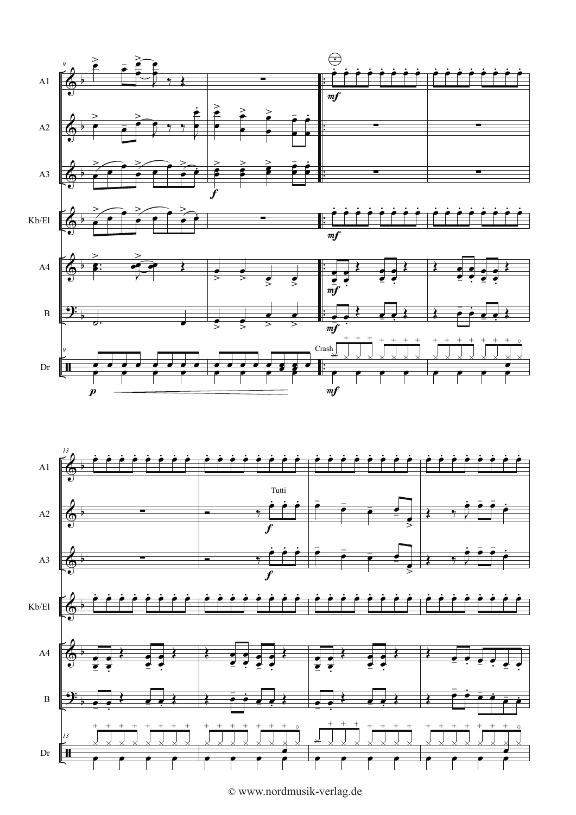



© www.nordmusik-verlag.de